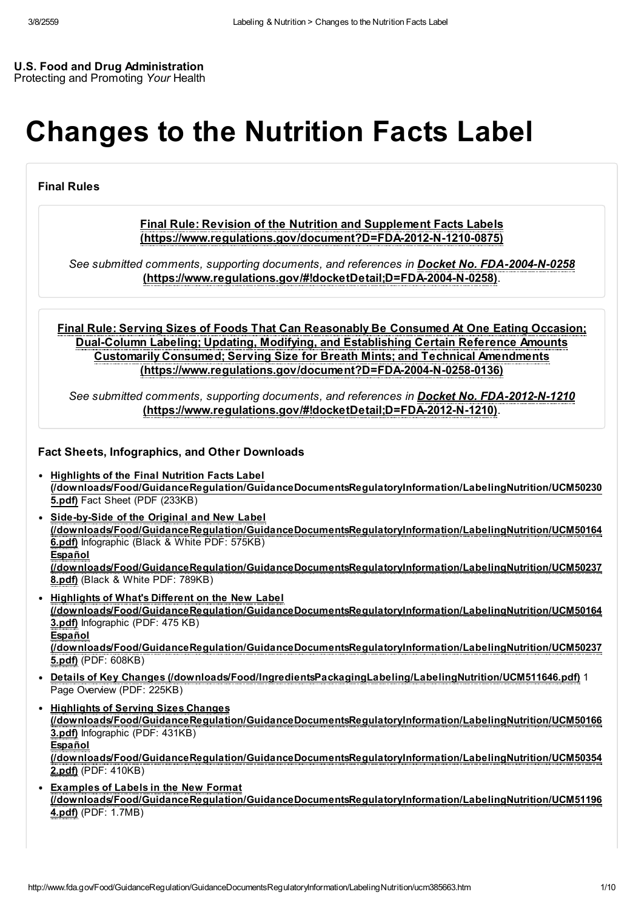#### U.S. Food and Drug Administration Protecting and Promoting Your Health

# Changes to the Nutrition Facts Label

Final Rules

#### Final Rule: Revision of the Nutrition and Supplement Facts Labels [\(https://www.regulations.gov/document?D=FDA-2012-N-1210-0875\)](https://www.regulations.gov/document?D=FDA-2012-N-1210-0875)

See submitted comments, supporting documents, and references in **Docket No. FDA-2004-N-0258** [\(https://www.regulations.gov/#!docketDetail;D=FDA-2004-N-0258\)](https://www.regulations.gov/#!docketDetail;D=FDA-2004-N-0258).

Final Rule: Serving Sizes of Foods That Can Reasonably Be Consumed At One Eating Occasion; Dual-Column Labeling; Updating, Modifying, and Establishing Certain Reference Amounts Customarily Consumed; Serving Size for Breath Mints; and Technical Amendments [\(https://www.regulations.gov/document?D=FDA-2004-N-0258-0136\)](https://www.regulations.gov/document?D=FDA-2004-N-0258-0136)

See submitted comments, supporting documents, and references in Docket No. FDA-2012-N-1210 [\(https://www.regulations.gov/#!docketDetail;D=FDA-2012-N-1210\)](https://www.regulations.gov/#!docketDetail;D=FDA-2012-N-1210).

Fact Sheets, Infographics, and Other Downloads

- Highlights of the Final Nutrition Facts Label [\(/downloads/Food/GuidanceRegulation/GuidanceDocumentsRegulatoryInformation/LabelingNutrition/UCM50230](http://www.fda.gov/downloads/Food/GuidanceRegulation/GuidanceDocumentsRegulatoryInformation/LabelingNutrition/UCM502305.pdf) 5.pdf) Fact Sheet (PDF (233KB)
- Side-by-Side of the Original and New Label [\(/downloads/Food/GuidanceRegulation/GuidanceDocumentsRegulatoryInformation/LabelingNutrition/UCM50164](http://www.fda.gov/downloads/Food/GuidanceRegulation/GuidanceDocumentsRegulatoryInformation/LabelingNutrition/UCM501646.pdf) 6.pdf) Infographic (Black & White PDF: 575KB) Español [\(/downloads/Food/GuidanceRegulation/GuidanceDocumentsRegulatoryInformation/LabelingNutrition/UCM50237](http://www.fda.gov/downloads/Food/GuidanceRegulation/GuidanceDocumentsRegulatoryInformation/LabelingNutrition/UCM502378.pdf) 8.pdf) (Black & White PDF: 789KB)
- Highlights of What's Different on the New Label [\(/downloads/Food/GuidanceRegulation/GuidanceDocumentsRegulatoryInformation/LabelingNutrition/UCM50164](http://www.fda.gov/downloads/Food/GuidanceRegulation/GuidanceDocumentsRegulatoryInformation/LabelingNutrition/UCM501643.pdf) 3.pdf) Infographic (PDF: 475 KB) **Español** [\(/downloads/Food/GuidanceRegulation/GuidanceDocumentsRegulatoryInformation/LabelingNutrition/UCM50237](http://www.fda.gov/downloads/Food/GuidanceRegulation/GuidanceDocumentsRegulatoryInformation/LabelingNutrition/UCM502375.pdf) 5.pdf) (PDF: 608KB)
- Details of Key Changes [\(/downloads/Food/IngredientsPackagingLabeling/LabelingNutrition/UCM511646.pdf\)](http://www.fda.gov/downloads/Food/IngredientsPackagingLabeling/LabelingNutrition/UCM511646.pdf) 1 Page Overview (PDF: 225KB)
- Highlights of Serving Sizes Changes [\(/downloads/Food/GuidanceRegulation/GuidanceDocumentsRegulatoryInformation/LabelingNutrition/UCM50166](http://www.fda.gov/downloads/Food/GuidanceRegulation/GuidanceDocumentsRegulatoryInformation/LabelingNutrition/UCM501663.pdf) 3.pdf) Infographic (PDF: 431KB) Español [\(/downloads/Food/GuidanceRegulation/GuidanceDocumentsRegulatoryInformation/LabelingNutrition/UCM50354](http://www.fda.gov/downloads/Food/GuidanceRegulation/GuidanceDocumentsRegulatoryInformation/LabelingNutrition/UCM503542.pdf) 2.pdf) (PDF: 410KB)
- Examples of Labels in the New Format [\(/downloads/Food/GuidanceRegulation/GuidanceDocumentsRegulatoryInformation/LabelingNutrition/UCM51196](http://www.fda.gov/downloads/Food/GuidanceRegulation/GuidanceDocumentsRegulatoryInformation/LabelingNutrition/UCM511964.pdf) 4.pdf) (PDF: 1.7MB)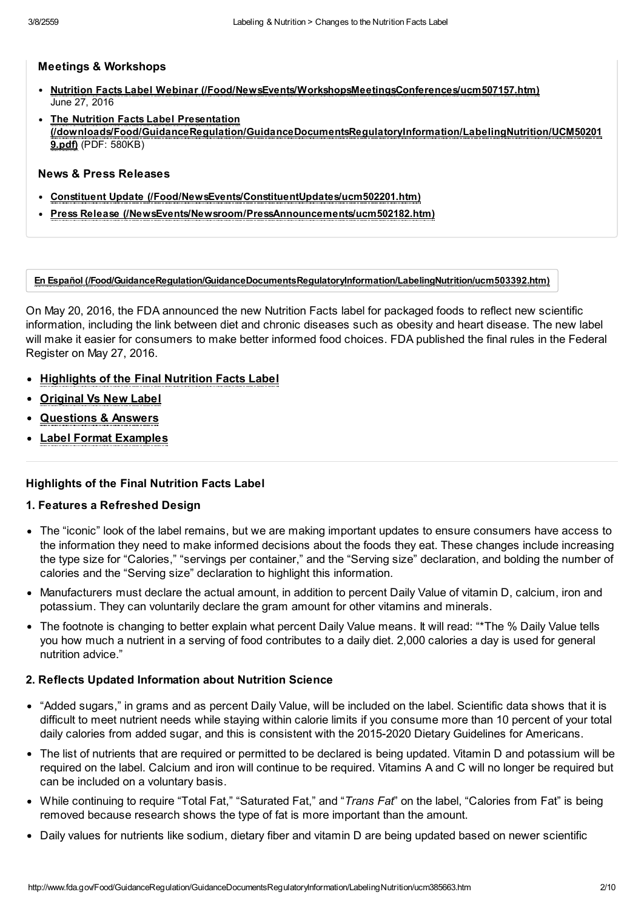#### Meetings & Workshops

- Nutrition Facts Label Webinar [\(/Food/NewsEvents/WorkshopsMeetingsConferences/ucm507157.htm\)](http://www.fda.gov/Food/NewsEvents/WorkshopsMeetingsConferences/ucm507157.htm)  $\bullet$ June 27, 2016
- The Nutrition Facts Label Presentation [\(/downloads/Food/GuidanceRegulation/GuidanceDocumentsRegulatoryInformation/LabelingNutrition/UCM50201](http://www.fda.gov/downloads/Food/GuidanceRegulation/GuidanceDocumentsRegulatoryInformation/LabelingNutrition/UCM502019.pdf) 9.pdf) (PDF: 580KB)

#### News & Press Releases

- Constituent Update [\(/Food/NewsEvents/ConstituentUpdates/ucm502201.htm\)](http://www.fda.gov/Food/NewsEvents/ConstituentUpdates/ucm502201.htm)
- Press Release [\(/NewsEvents/Newsroom/PressAnnouncements/ucm502182.htm\)](http://www.fda.gov/NewsEvents/Newsroom/PressAnnouncements/ucm502182.htm)

En Español [\(/Food/GuidanceRegulation/GuidanceDocumentsRegulatoryInformation/LabelingNutrition/ucm503392.htm\)](http://www.fda.gov/Food/GuidanceRegulation/GuidanceDocumentsRegulatoryInformation/LabelingNutrition/ucm503392.htm)

On May 20, 2016, the FDA announced the new Nutrition Facts label for packaged foods to reflect new scientific information, including the link between diet and chronic diseases such as obesity and heart disease. The new label will make it easier for consumers to make better informed food choices. FDA published the final rules in the Federal Register on May 27, 2016.

- [Highlights](#page-1-0) of the Final Nutrition Facts Label
- [Original](#page-2-0) Vs New Label
- [Questions](#page-5-0) & Answers
- Label Format [Examples](#page-7-0)

#### <span id="page-1-0"></span>Highlights of the Final Nutrition Facts Label

#### 1. Features a Refreshed Design

- The "iconic" look of the label remains, but we are making important updates to ensure consumers have access to the information they need to make informed decisions about the foods they eat. These changes include increasing the type size for "Calories," "servings per container," and the "Serving size" declaration, and bolding the number of calories and the "Serving size" declaration to highlight this information.
- Manufacturers must declare the actual amount, in addition to percent Daily Value of vitamin D, calcium, iron and potassium. They can voluntarily declare the gram amount for other vitamins and minerals.
- The footnote is changing to better explain what percent Daily Value means. It will read: "\*The % Daily Value tells you how much a nutrient in a serving of food contributes to a daily diet. 2,000 calories a day is used for general nutrition advice."

#### 2. Reflects Updated Information about Nutrition Science

- "Added sugars," in grams and as percent Daily Value, will be included on the label. Scientific data shows that it is difficult to meet nutrient needs while staying within calorie limits if you consume more than 10 percent of your total daily calories from added sugar, and this is consistent with the 2015-2020 Dietary Guidelines for Americans.
- The list of nutrients that are required or permitted to be declared is being updated. Vitamin D and potassium will be required on the label. Calcium and iron will continue to be required. Vitamins A and C will no longer be required but can be included on a voluntary basis.
- While continuing to require "Total Fat," "Saturated Fat," and "Trans Fat" on the label, "Calories from Fat" is being removed because research shows the type of fat is more important than the amount.
- Daily values for nutrients like sodium, dietary fiber and vitamin D are being updated based on newer scientific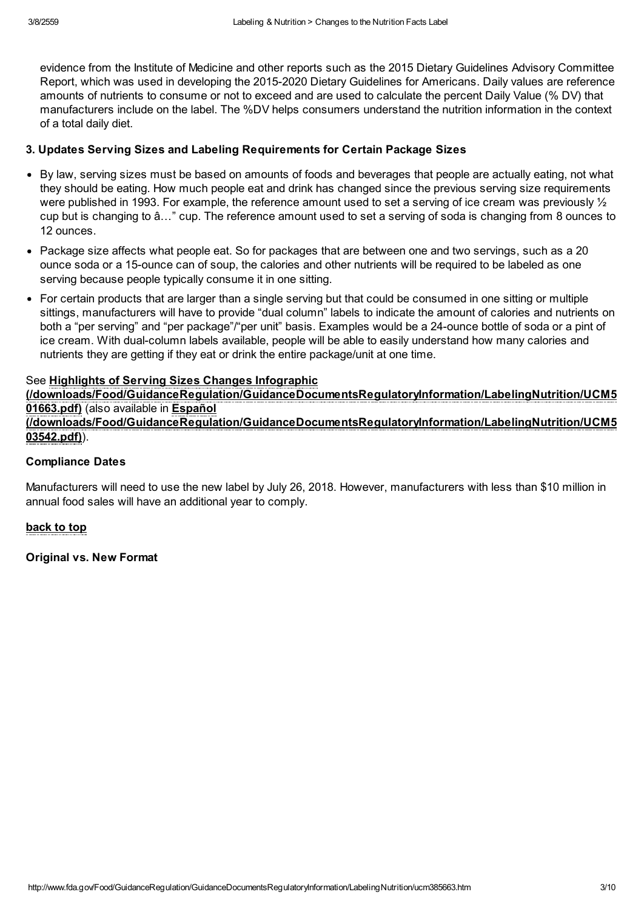evidence from the Institute of Medicine and other reports such as the 2015 Dietary Guidelines Advisory Committee Report, which was used in developing the 2015-2020 Dietary Guidelines for Americans. Daily values are reference amounts of nutrients to consume or not to exceed and are used to calculate the percent Daily Value (% DV) that manufacturers include on the label. The %DV helps consumers understand the nutrition information in the context of a total daily diet.

#### 3. Updates Serving Sizes and Labeling Requirements for Certain Package Sizes

- By law, serving sizes must be based on amounts of foods and beverages that people are actually eating, not what they should be eating. How much people eat and drink has changed since the previous serving size requirements were published in 1993. For example, the reference amount used to set a serving of ice cream was previously ½ cup but is changing to â…" cup. The reference amount used to set a serving of soda is changing from 8 ounces to 12 ounces.
- Package size affects what people eat. So for packages that are between one and two servings, such as a 20 ounce soda or a 15-ounce can of soup, the calories and other nutrients will be required to be labeled as one serving because people typically consume it in one sitting.
- For certain products that are larger than a single serving but that could be consumed in one sitting or multiple sittings, manufacturers will have to provide "dual column" labels to indicate the amount of calories and nutrients on both a "per serving" and "per package"/"per unit" basis. Examples would be a 24-ounce bottle of soda or a pint of ice cream. With dual-column labels available, people will be able to easily understand how many calories and nutrients they are getting if they eat or drink the entire package/unit at one time.

#### See Highlights of Serving Sizes Changes Infographic

[\(/downloads/Food/GuidanceRegulation/GuidanceDocumentsRegulatoryInformation/LabelingNutrition/UCM5](http://www.fda.gov/downloads/Food/GuidanceRegulation/GuidanceDocumentsRegulatoryInformation/LabelingNutrition/UCM501663.pdf) 01663.pdf) (also available in Español [\(/downloads/Food/GuidanceRegulation/GuidanceDocumentsRegulatoryInformation/LabelingNutrition/UCM5](http://www.fda.gov/downloads/Food/GuidanceRegulation/GuidanceDocumentsRegulatoryInformation/LabelingNutrition/UCM503542.pdf) 03542.pdf)).

#### Compliance Dates

Manufacturers will need to use the new label by July 26, 2018. However, manufacturers with less than \$10 million in annual food sales will have an additional year to comply.

#### back to top

<span id="page-2-0"></span>Original vs. New Format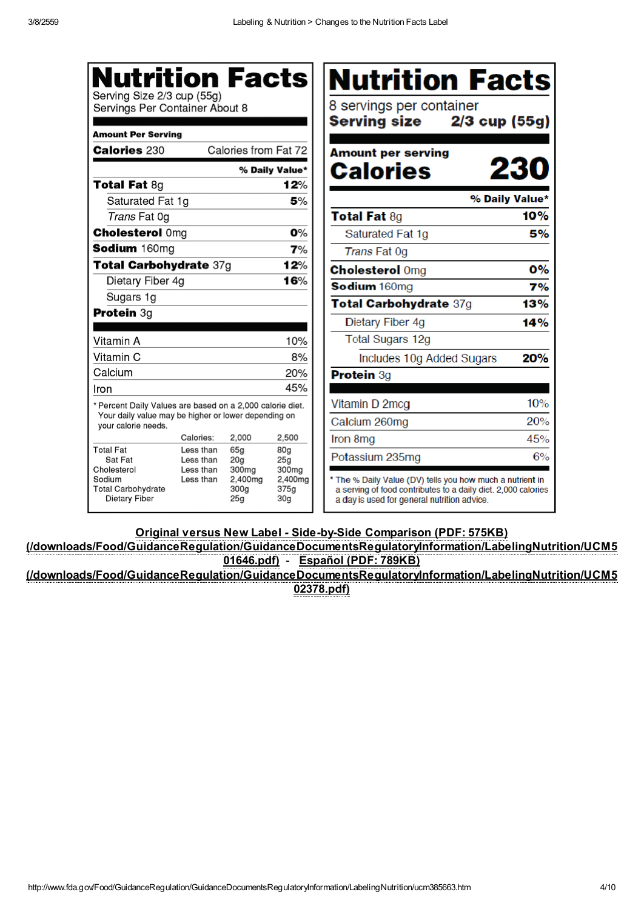| <b>Nutrition Facts</b><br>Serving Size 2/3 cup (55g)<br>Servings Per Container About 8<br><b>Amount Per Serving</b><br><b>Calories 230</b> |                        | Calories from Fat 72                                    |                                             | <b>Nutrition Facts</b><br>8 servings per container<br>Serving size<br>$2/3$ cup (55g)<br><b>Amount per serving</b>                                                        |     |
|--------------------------------------------------------------------------------------------------------------------------------------------|------------------------|---------------------------------------------------------|---------------------------------------------|---------------------------------------------------------------------------------------------------------------------------------------------------------------------------|-----|
|                                                                                                                                            |                        |                                                         | % Daily Value*                              | 230<br><b>Calories</b>                                                                                                                                                    |     |
| <b>Total Fat 8g</b>                                                                                                                        |                        |                                                         | 12%                                         |                                                                                                                                                                           |     |
| Saturated Fat 1g                                                                                                                           |                        |                                                         | 5%                                          | % Daily Value*                                                                                                                                                            |     |
| Trans Fat 0g                                                                                                                               |                        |                                                         |                                             | <b>Total Fat 8g</b>                                                                                                                                                       | 10% |
| <b>Cholesterol Omg</b>                                                                                                                     |                        |                                                         | $O\%$                                       | Saturated Fat 1g                                                                                                                                                          |     |
| Sodium 160mg                                                                                                                               |                        |                                                         | 7%                                          | <b>Trans Fat 0g</b>                                                                                                                                                       |     |
| Total Carbohydrate 37g                                                                                                                     |                        |                                                         | 12%                                         | <b>Cholesterol Omg</b>                                                                                                                                                    |     |
| Dietary Fiber 4g                                                                                                                           |                        |                                                         | 16%                                         | Sodium 160mg                                                                                                                                                              |     |
| Sugars 1g                                                                                                                                  |                        |                                                         |                                             | Total Carbohydrate 37g                                                                                                                                                    | 13% |
| <b>Protein 3g</b>                                                                                                                          |                        |                                                         |                                             | Dietary Fiber 4g                                                                                                                                                          | 14% |
| Vitamin A                                                                                                                                  |                        |                                                         | 10%                                         | <b>Total Sugars 12g</b>                                                                                                                                                   |     |
| Vitamin C                                                                                                                                  |                        |                                                         | 8%                                          | Includes 10g Added Sugars                                                                                                                                                 | 20% |
| Calcium                                                                                                                                    |                        |                                                         | 20%                                         | Protein 3g                                                                                                                                                                |     |
| Iron                                                                                                                                       |                        |                                                         | 45%                                         |                                                                                                                                                                           |     |
| * Percent Daily Values are based on a 2,000 calorie diet.                                                                                  |                        |                                                         |                                             | Vitamin D 2mcg                                                                                                                                                            | 10% |
| Your daily value may be higher or lower depending on<br>vour calorie needs.                                                                |                        |                                                         |                                             | Calcium 260mg                                                                                                                                                             | 20% |
|                                                                                                                                            | Calories:              | 2,000                                                   | 2,500                                       | Iron 8mg                                                                                                                                                                  | 45% |
| <b>Total Fat</b><br>Sat Fat                                                                                                                | Less than<br>Less than | 65g<br>20 <sub>g</sub>                                  | 80g<br>25g                                  | Potassium 235mg                                                                                                                                                           |     |
| Cholesterol<br>Sodium<br><b>Total Carbohydrate</b><br>Dietary Fiber                                                                        | Less than<br>Less than | 300 <sub>mg</sub><br>2.400mg<br>300 <sub>g</sub><br>25g | 300mg<br>2.400mg<br>375a<br>30 <sub>g</sub> | * The % Daily Value (DV) tells you how much a nutrient in<br>a serving of food contributes to a daily diet. 2,000 calories<br>a day is used for general nutrition advice. |     |

Original versus New Label - Side-by-Side Comparison (PDF: 575KB)

[\(/downloads/Food/GuidanceRegulation/GuidanceDocumentsRegulatoryInformation/LabelingNutrition/UCM5](http://www.fda.gov/downloads/Food/GuidanceRegulation/GuidanceDocumentsRegulatoryInformation/LabelingNutrition/UCM501646.pdf) 01646.pdf) - Español (PDF: 789KB) [\(/downloads/Food/GuidanceRegulation/GuidanceDocumentsRegulatoryInformation/LabelingNutrition/UCM5](http://www.fda.gov/downloads/Food/GuidanceRegulation/GuidanceDocumentsRegulatoryInformation/LabelingNutrition/UCM502378.pdf)

02378.pdf)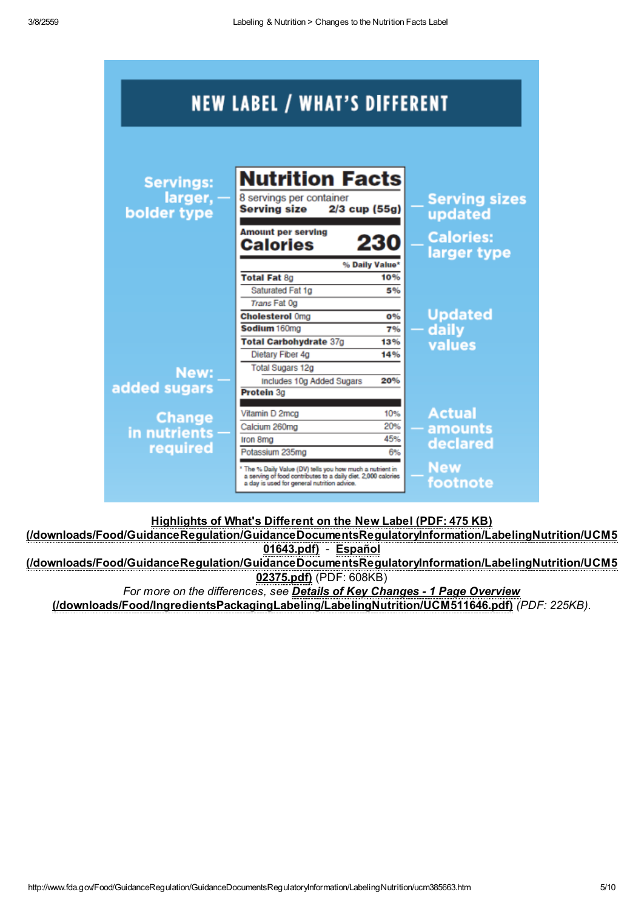| <b>NEW LABEL / WHAT'S DIFFERENT</b>        |                                                                                                                                                                           |                             |                                                                    |  |  |  |  |  |
|--------------------------------------------|---------------------------------------------------------------------------------------------------------------------------------------------------------------------------|-----------------------------|--------------------------------------------------------------------|--|--|--|--|--|
| <b>Servings:</b><br>larger,<br>bolder type | <b>Nutrition Facts</b><br>8 servings per container<br><b>Serving size</b><br>$2/3$ cup (55g)<br><b>Amount per serving</b><br><b>Calories</b>                              | 230                         | <b>Serving sizes</b><br>updated<br><b>Calories:</b><br>larger type |  |  |  |  |  |
|                                            | <b>Total Fat 8g</b><br>Saturated Fat 1g<br>Trans Fat 0g                                                                                                                   | % Daily Value*<br>10%<br>5% |                                                                    |  |  |  |  |  |
|                                            | <b>Cholesterol Omg</b><br>Sodium 160mg<br><b>Total Carbohydrate 37g</b><br>Dietary Fiber 4g                                                                               | 0%<br>7%<br>13%<br>14%      | <b>Updated</b><br>daily<br>values                                  |  |  |  |  |  |
| New:<br>added sugars                       | <b>Total Sugars 12g</b><br>Includes 10g Added Sugars<br>Protein 3a                                                                                                        | 20%                         |                                                                    |  |  |  |  |  |
| <b>Change</b><br>in nutrients<br>required  | Vitamin D 2mcg<br>Calcium 260mg<br>Iron 8mg<br>Potassium 235mg                                                                                                            | 10%<br>20%<br>45%<br>6%     | <b>Actual</b><br>amounts<br>declared                               |  |  |  |  |  |
|                                            | * The % Daily Value (DV) tells you how much a nutrient in<br>a serving of food contributes to a daily diet. 2,000 calories<br>a day is used for general nutrition advice. |                             | <b>New</b><br>footnote                                             |  |  |  |  |  |

Highlights of What's Different on the New Label (PDF: 475 KB)

[\(/downloads/Food/GuidanceRegulation/GuidanceDocumentsRegulatoryInformation/LabelingNutrition/UCM5](http://www.fda.gov/downloads/Food/GuidanceRegulation/GuidanceDocumentsRegulatoryInformation/LabelingNutrition/UCM501643.pdf) 01643.pdf) - Español [\(/downloads/Food/GuidanceRegulation/GuidanceDocumentsRegulatoryInformation/LabelingNutrition/UCM5](http://www.fda.gov/downloads/Food/GuidanceRegulation/GuidanceDocumentsRegulatoryInformation/LabelingNutrition/UCM502375.pdf) 02375.pdf) (PDF: 608KB)

For more on the differences, see Details of Key Changes - 1 Page Overview [\(/downloads/Food/IngredientsPackagingLabeling/LabelingNutrition/UCM511646.pdf\)](http://www.fda.gov/downloads/Food/IngredientsPackagingLabeling/LabelingNutrition/UCM511646.pdf) (PDF: 225KB).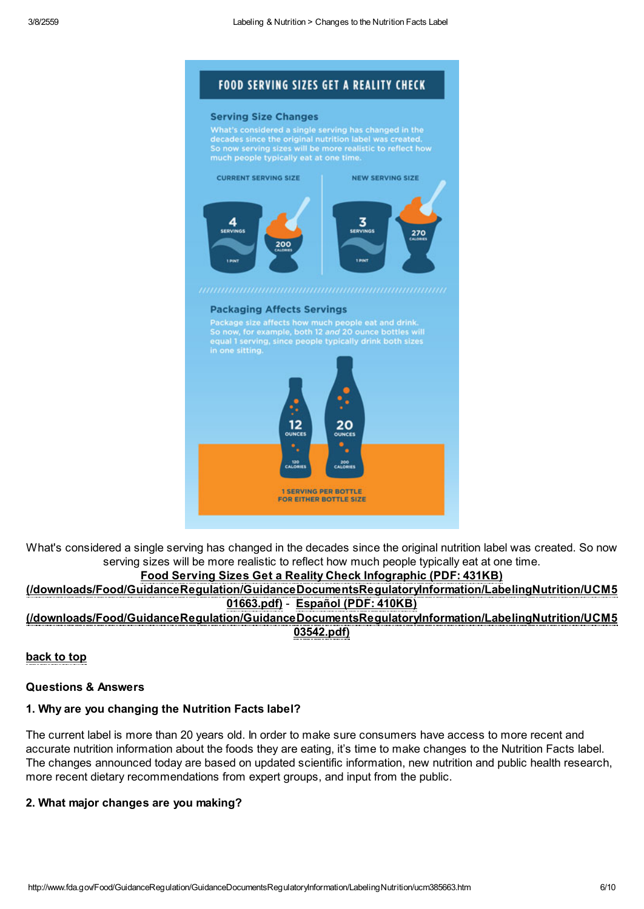

#### **Serving Size Changes**

What's considered a single serving has changed in the<br>decades since the original nutrition label was created.<br>So now serving sizes will be more realistic to reflect how



#### **Packaging Affects Servings**

Package size affects how much people eat and drink.<br>So now, for example, both 12 and 20 ounce bottles will<br>equal 1 serving, since people typically drink both sizes



What's considered a single serving has changed in the decades since the original nutrition label was created. So now serving sizes will be more realistic to reflect how much people typically eat at one time.

### Food Serving Sizes Get a Reality Check Infographic (PDF: 431KB)

[\(/downloads/Food/GuidanceRegulation/GuidanceDocumentsRegulatoryInformation/LabelingNutrition/UCM5](http://www.fda.gov/downloads/Food/GuidanceRegulation/GuidanceDocumentsRegulatoryInformation/LabelingNutrition/UCM501663.pdf) 01663.pdf) - Español (PDF: 410KB)

[\(/downloads/Food/GuidanceRegulation/GuidanceDocumentsRegulatoryInformation/LabelingNutrition/UCM5](http://www.fda.gov/downloads/Food/GuidanceRegulation/GuidanceDocumentsRegulatoryInformation/LabelingNutrition/UCM503542.pdf) 03542.pdf)

### back to top

#### <span id="page-5-0"></span>Questions & Answers

#### 1. Why are you changing the Nutrition Facts label?

The current label is more than 20 years old. In order to make sure consumers have access to more recent and accurate nutrition information about the foods they are eating, it's time to make changes to the Nutrition Facts label. The changes announced today are based on updated scientific information, new nutrition and public health research, more recent dietary recommendations from expert groups, and input from the public.

#### 2. What major changes are you making?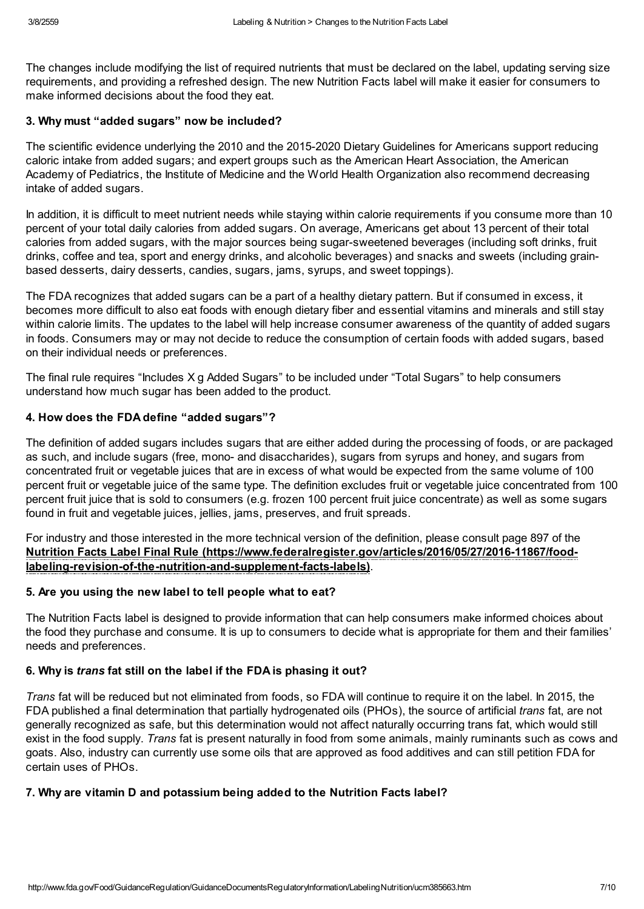The changes include modifying the list of required nutrients that must be declared on the label, updating serving size requirements, and providing a refreshed design. The new Nutrition Facts label will make it easier for consumers to make informed decisions about the food they eat.

#### 3. Why must "added sugars" now be included?

The scientific evidence underlying the 2010 and the 2015-2020 Dietary Guidelines for Americans support reducing caloric intake from added sugars; and expert groups such as the American Heart Association, the American Academy of Pediatrics, the Institute of Medicine and the World Health Organization also recommend decreasing intake of added sugars.

In addition, it is difficult to meet nutrient needs while staying within calorie requirements if you consume more than 10 percent of your total daily calories from added sugars. On average, Americans get about 13 percent of their total calories from added sugars, with the major sources being sugar-sweetened beverages (including soft drinks, fruit drinks, coffee and tea, sport and energy drinks, and alcoholic beverages) and snacks and sweets (including grainbased desserts, dairy desserts, candies, sugars, jams, syrups, and sweet toppings).

The FDA recognizes that added sugars can be a part of a healthy dietary pattern. But if consumed in excess, it becomes more difficult to also eat foods with enough dietary fiber and essential vitamins and minerals and still stay within calorie limits. The updates to the label will help increase consumer awareness of the quantity of added sugars in foods. Consumers may or may not decide to reduce the consumption of certain foods with added sugars, based on their individual needs or preferences.

The final rule requires "Includes X g Added Sugars" to be included under "Total Sugars" to help consumers understand how much sugar has been added to the product.

### 4. How does the FDA define "added sugars"?

The definition of added sugars includes sugars that are either added during the processing of foods, or are packaged as such, and include sugars (free, mono- and disaccharides), sugars from syrups and honey, and sugars from concentrated fruit or vegetable juices that are in excess of what would be expected from the same volume of 100 percent fruit or vegetable juice of the same type. The definition excludes fruit or vegetable juice concentrated from 100 percent fruit juice that is sold to consumers (e.g. frozen 100 percent fruit juice concentrate) as well as some sugars found in fruit and vegetable juices, jellies, jams, preserves, and fruit spreads.

For industry and those interested in the more technical version of the definition, please consult page 897 of the Nutrition Facts Label Final Rule [\(https://www.federalregister.gov/articles/2016/05/27/2016-11867/food](https://www.federalregister.gov/articles/2016/05/27/2016-11867/food-labeling-revision-of-the-nutrition-and-supplement-facts-labels)labeling-revision-of-the-nutrition-and-supplement-facts-labels).

### 5. Are you using the new label to tell people what to eat?

The Nutrition Facts label is designed to provide information that can help consumers make informed choices about the food they purchase and consume. It is up to consumers to decide what is appropriate for them and their families' needs and preferences.

#### 6. Why is trans fat still on the label if the FDA is phasing it out?

Trans fat will be reduced but not eliminated from foods, so FDA will continue to require it on the label. In 2015, the FDA published a final determination that partially hydrogenated oils (PHOs), the source of artificial *trans* fat, are not generally recognized as safe, but this determination would not affect naturally occurring trans fat, which would still exist in the food supply. Trans fat is present naturally in food from some animals, mainly ruminants such as cows and goats. Also, industry can currently use some oils that are approved as food additives and can still petition FDA for certain uses of PHOs.

### 7. Why are vitamin D and potassium being added to the Nutrition Facts label?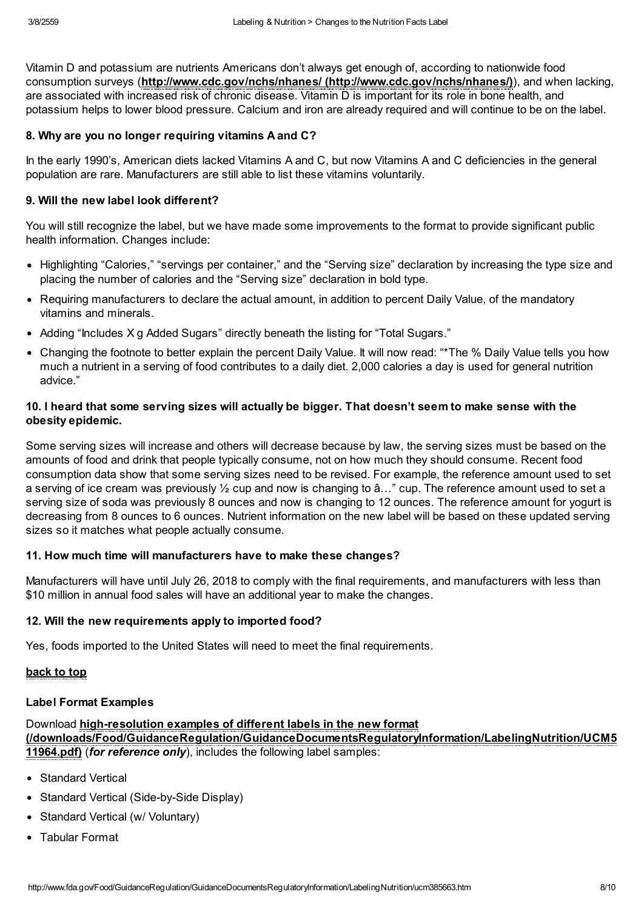Vitamin D and potassium are nutrients Americans don't always get enough of, according to nationwide food consumption surveys (http://www.cdc.gov/nchs/nhanes/ [\(http://www.cdc.gov/nchs/nhanes/\)](http://www.cdc.gov/nchs/nhanes/)), and when lacking, are associated with increased risk of chronic disease. Vitamin D is important for its role in bone health, and potassium helps to lower blood pressure. Calcium and iron are already required and will continue to be on the label.

#### 8. Why are you no longer requiring vitamins A and C?

In the early 1990's, American diets lacked Vitamins A and C, but now Vitamins A and C deficiencies in the general population are rare. Manufacturers are still able to list these vitamins voluntarily.

#### 9. Will the new label look different?

You will still recognize the label, but we have made some improvements to the format to provide significant public health information. Changes include:

- Highlighting "Calories," "servings per container," and the "Serving size" declaration by increasing the type size and placing the number of calories and the "Serving size" declaration in bold type.
- Requiring manufacturers to declare the actual amount, in addition to percent Daily Value, of the mandatory vitamins and minerals.
- Adding "Includes X g Added Sugars" directly beneath the listing for "Total Sugars."
- Changing the footnote to better explain the percent Daily Value. It will now read: "\*The % Daily Value tells you how much a nutrient in a serving of food contributes to a daily diet. 2,000 calories a day is used for general nutrition advice."

## 10. I heard that some serving sizes will actually be bigger. That doesn't seem to make sense with the obesity epidemic.

Some serving sizes will increase and others will decrease because by law, the serving sizes must be based on the amounts of food and drink that people typically consume, not on how much they should consume. Recent food consumption data show that some serving sizes need to be revised. For example, the reference amount used to set a serving of ice cream was previously ½ cup and now is changing to â…" cup. The reference amount used to set a serving size of soda was previously 8 ounces and now is changing to 12 ounces. The reference amount for yogurt is decreasing from 8 ounces to 6 ounces. Nutrient information on the new label will be based on these updated serving sizes so it matches what people actually consume.

#### 11. How much time will manufacturers have to make these changes?

Manufacturers will have until July 26, 2018 to comply with the final requirements, and manufacturers with less than \$10 million in annual food sales will have an additional year to make the changes.

#### 12. Will the new requirements apply to imported food?

Yes, foods imported to the United States will need to meet the final requirements.

#### back to top

#### <span id="page-7-0"></span>Label Format Examples

Download high-resolution examples of different labels in the new format [\(/downloads/Food/GuidanceRegulation/GuidanceDocumentsRegulatoryInformation/LabelingNutrition/UCM5](http://www.fda.gov/downloads/Food/GuidanceRegulation/GuidanceDocumentsRegulatoryInformation/LabelingNutrition/UCM511964.pdf) 11964.pdf) (for reference only), includes the following label samples:

- Standard Vertical
- Standard Vertical (Side-by-Side Display)
- Standard Vertical (w/ Voluntary)
- Tabular Format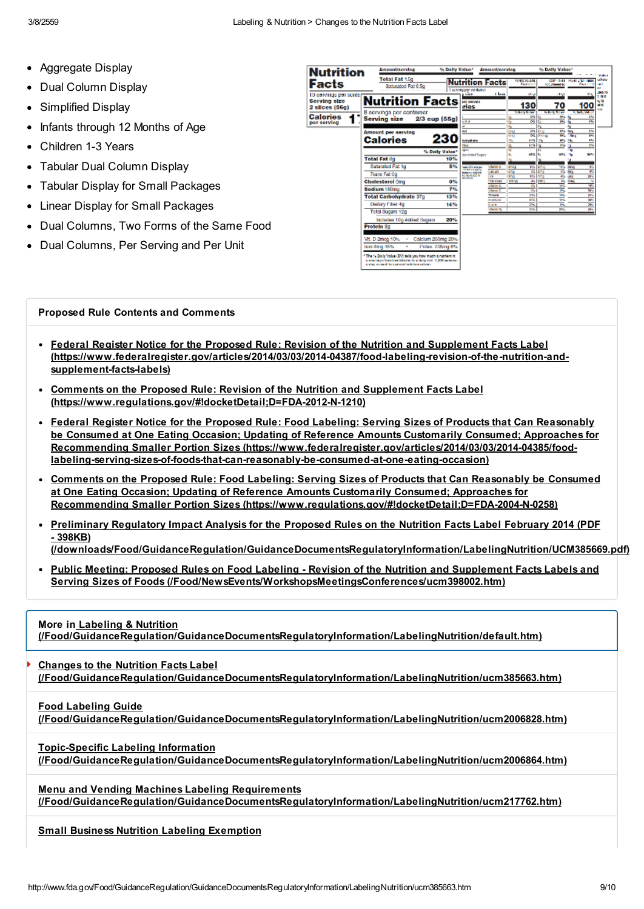- Aggregate Display
- Dual Column Display
- Simplified Display
- Infants through 12 Months of Age
- Children 1-3 Years
- Tabular Dual Column Display
- Tabular Display for Small Packages
- Linear Display for Small Packages
- Dual Columns, Two Forms of the Same Food
- Dual Columns, Per Serving and Per Unit

| <b>Nutrition</b>                                                                    | polynosytheses                                                                                                                                                      |                              | % Dally Value*                                                            |                                                                                  | <b>Amount/serving</b><br>% Dolly Value*                                |      |                                                                                         |                                                                                        |
|-------------------------------------------------------------------------------------|---------------------------------------------------------------------------------------------------------------------------------------------------------------------|------------------------------|---------------------------------------------------------------------------|----------------------------------------------------------------------------------|------------------------------------------------------------------------|------|-----------------------------------------------------------------------------------------|----------------------------------------------------------------------------------------|
| <b>Facts</b>                                                                        | <b>Total Fat 15g</b><br>Saturated Fat 0.5g                                                                                                                          |                              | <b>Nutrition Facts</b><br>I acrying per container                         |                                                                                  | <b>WHEREN</b><br><b>Darrison</b>                                       |      | <b>CONTRACTOR</b><br><b>SIX PRODUCTS</b>                                                | uhow<br><b>MORE LINE THERE</b><br><b>Dealers</b><br>œ                                  |
| 10 servings per contar<br>Serving size<br>2 silces (56g)<br>Calories<br>per serving | <b>Nutrition Facts</b><br>8 servings per container<br>2/3 cup (55g)<br><b>Serving size</b>                                                                          |                              | a sien<br><b>Der bervied</b><br>ries<br>an a<br>a                         | <b>There</b>                                                                     | $\alpha$<br>130<br><b>Chile Silver</b><br>o-1<br>ल्य<br>6              |      | 117.4<br>70<br><b>Statistics</b><br>ou.<br>œ.                                           | <b>DI 10</b><br>25<br>er in<br>100<br>AM.<br>m<br><b>StateMan</b><br>Chi<br><b>CH1</b> |
|                                                                                     | <b>Amount per serving</b><br>Calories<br><b>Total Fat 8g</b>                                                                                                        | 230<br>% Daily Value*<br>10% | mat<br>bahydrata<br><b>Hour</b><br>quest.<br>des Abdud Sagers             |                                                                                  | <b>CT</b><br><u>ing</u><br>ल<br>is a p<br>x.<br>44.52<br>11%<br>46.52  | 1-11 | ou<br><b>Service</b><br>氥<br>50<br><b>ANL 746</b><br>m<br>13<br>u<br>an a<br>×.         | c-s<br>'n,<br>e.<br>454<br>SH 4                                                        |
|                                                                                     | Saturated Fat 1g<br>Trans Fat Co.<br><b>Cholesterol Cmg</b><br>Sodium 160mg                                                                                         | 5%<br>0%<br>7%               | Sale (21) of them<br><b>Installation</b><br><b><i>BLIGHTER</i></b><br>--- | <b>VENTITO</b><br>CIRCAIN<br><b>ISB</b><br><b>TOM PROFIT</b><br><b>Wallet A</b>  | K.<br>anca<br>c.<br>ung<br><b>KV</b><br>370<br><b>DIVO</b><br>Ps<br>ç. | an i | <b>STA</b><br>2005<br><b>IN</b><br><b>Date</b><br>e.<br><b>LIFE</b><br>Pu<br>3246<br>35 | e.<br>e.<br>æ.<br>79<br><b>SEE</b>                                                     |
|                                                                                     | <b>Total Carbohydrate 37g</b><br>Dietary Fiber 4g<br><b>Total Sugars 12g</b>                                                                                        | 13%<br>14%                   |                                                                           | About C.<br><b>TIGHT</b><br><b>Wildline</b><br><b>North</b><br><b>Change Tax</b> | b.<br>28%<br><b>STL</b><br>366<br>20%                                  |      | 39%<br>78%<br>w<br>ĸ<br>$\mathbf{x}$                                                    | w.<br>20%<br>W.<br>$\overline{\phantom{a}}$<br>$\overline{\phantom{a}}$                |
|                                                                                     | Includes 10g Added Sugars<br><b>Protein 3g</b><br>Calcium 260mg 20%<br>Vit. D 2mog 10%<br>٠<br>from Bring 45%<br>٠                                                  | 20%<br>Police, 235mg 6%      |                                                                           |                                                                                  |                                                                        |      |                                                                                         |                                                                                        |
|                                                                                     | * The % Daily Value (DV) sells you how much a natrient in<br>a representational contribution to a dark chall 2,000 actions:<br>a rizy manufilm general subdomativen |                              |                                                                           |                                                                                  |                                                                        |      |                                                                                         |                                                                                        |

#### Proposed Rule Contents and Comments

- Federal Register Notice for the Proposed Rule: Revision of the Nutrition and Supplement Facts Label [\(https://www.federalregister.gov/articles/2014/03/03/2014-04387/food-labeling-revision-of-the-nutrition-and](https://www.federalregister.gov/articles/2014/03/03/2014-04387/food-labeling-revision-of-the-nutrition-and-supplement-facts-labels)supplement-facts-labels)
- Comments on the Proposed Rule: Revision of the Nutrition and Supplement Facts Label [\(https://www.regulations.gov/#!docketDetail;D=FDA-2012-N-1210\)](https://www.regulations.gov/#!docketDetail;D=FDA-2012-N-1210)
- Federal Register Notice for the Proposed Rule: Food Labeling: Serving Sizes of Products that Can Reasonably be Consumed at One Eating Occasion; Updating of Reference Amounts Customarily Consumed; Approaches for Recommending Smaller Portion Sizes (https://www.federalregister.gov/articles/2014/03/03/2014-04385/food[labeling-serving-sizes-of-foods-that-can-reasonably-be-consumed-at-one-eating-occasion\)](https://www.federalregister.gov/articles/2014/03/03/2014-04385/food-labeling-serving-sizes-of-foods-that-can-reasonably-be-consumed-at-one-eating-occasion)
- Comments on the Proposed Rule: Food Labeling: Serving Sizes of Products that Can Reasonably be Consumed at One Eating Occasion; Updating of Reference Amounts Customarily Consumed; Approaches for Recommending Smaller Portion Sizes [\(https://www.regulations.gov/#!docketDetail;D=FDA-2004-N-0258\)](https://www.regulations.gov/#!docketDetail;D=FDA-2004-N-0258)
- Preliminary Regulatory Impact Analysis for the Proposed Rules on the Nutrition Facts Label February 2014 (PDF - 398KB)
	- [\(/downloads/Food/GuidanceRegulation/GuidanceDocumentsRegulatoryInformation/LabelingNutrition/UCM385669.pdf\)](http://www.fda.gov/downloads/Food/GuidanceRegulation/GuidanceDocumentsRegulatoryInformation/LabelingNutrition/UCM385669.pdf)
- Public Meeting: Proposed Rules on Food Labeling Revision of the Nutrition and Supplement Facts Labels and Serving Sizes of Foods [\(/Food/NewsEvents/WorkshopsMeetingsConferences/ucm398002.htm\)](http://www.fda.gov/Food/NewsEvents/WorkshopsMeetingsConferences/ucm398002.htm)

#### More in Labeling & Nutrition [\(/Food/GuidanceRegulation/GuidanceDocumentsRegulatoryInformation/LabelingNutrition/default.htm\)](http://www.fda.gov/Food/GuidanceRegulation/GuidanceDocumentsRegulatoryInformation/LabelingNutrition/default.htm)

Changes to the Nutrition Facts Label [\(/Food/GuidanceRegulation/GuidanceDocumentsRegulatoryInformation/LabelingNutrition/ucm385663.htm\)](http://www.fda.gov/Food/GuidanceRegulation/GuidanceDocumentsRegulatoryInformation/LabelingNutrition/ucm385663.htm) þ

Food Labeling Guide

[\(/Food/GuidanceRegulation/GuidanceDocumentsRegulatoryInformation/LabelingNutrition/ucm2006828.htm\)](http://www.fda.gov/Food/GuidanceRegulation/GuidanceDocumentsRegulatoryInformation/LabelingNutrition/ucm2006828.htm)

Topic-Specific Labeling Information

[\(/Food/GuidanceRegulation/GuidanceDocumentsRegulatoryInformation/LabelingNutrition/ucm2006864.htm\)](http://www.fda.gov/Food/GuidanceRegulation/GuidanceDocumentsRegulatoryInformation/LabelingNutrition/ucm2006864.htm)

Menu and Vending Machines Labeling Requirements [\(/Food/GuidanceRegulation/GuidanceDocumentsRegulatoryInformation/LabelingNutrition/ucm217762.htm\)](http://www.fda.gov/Food/GuidanceRegulation/GuidanceDocumentsRegulatoryInformation/LabelingNutrition/ucm217762.htm)

Small Business Nutrition Labeling [Exemption](http://www.fda.gov/Food/GuidanceRegulation/GuidanceDocumentsRegulatoryInformation/LabelingNutrition/ucm2006867.htm)